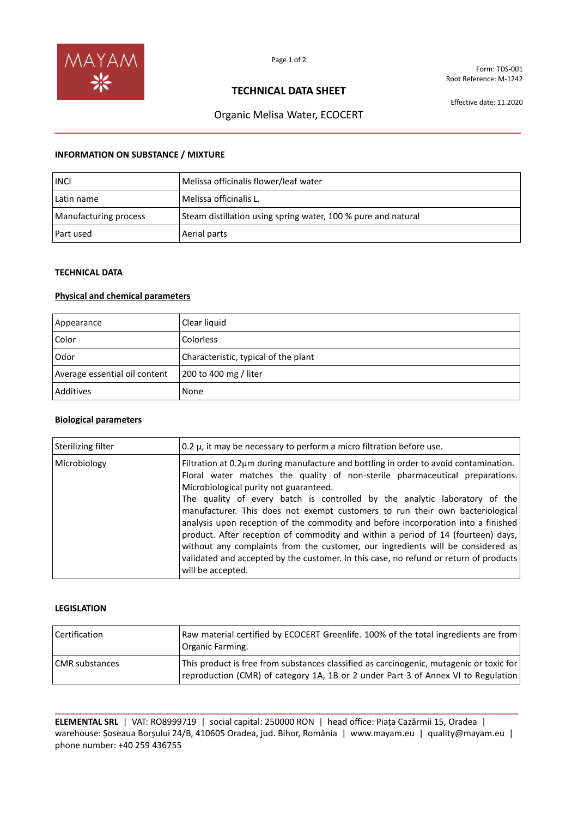

Form: TDS-001 Root Reference: M-1242

## **TECHNICAL DATA SHEET**

Effective date: 11.2020

# Organic Melisa Water, ECOCERT **\_\_\_\_\_\_\_\_\_\_\_\_\_\_\_\_\_\_\_\_\_\_\_\_\_\_\_\_\_\_\_\_\_\_\_\_\_\_\_\_\_\_\_\_\_\_\_\_\_\_\_\_\_\_\_\_\_\_\_\_\_\_\_\_\_\_\_\_\_\_\_\_\_\_\_\_\_\_\_\_**

### **INFORMATION ON SUBSTANCE / MIXTURE**

| <b>INCI</b>           | Melissa officinalis flower/leaf water                         |
|-----------------------|---------------------------------------------------------------|
| Latin name            | Melissa officinalis L.                                        |
| Manufacturing process | Steam distillation using spring water, 100 % pure and natural |
| Part used             | Aerial parts                                                  |

## **TECHNICAL DATA**

## **Physical and chemical parameters**

| Appearance                    | Clear liquid                         |
|-------------------------------|--------------------------------------|
| Color                         | <b>Colorless</b>                     |
| Odor                          | Characteristic, typical of the plant |
| Average essential oil content | 200 to 400 mg / liter                |
| Additives                     | None                                 |

### **Biological parameters**

| <b>Sterilizing filter</b> | 0.2 $\mu$ , it may be necessary to perform a micro filtration before use.                                                                                                                                                                                                                                                                                                                                                                                                                                                                                                                                                                                                                                                                               |
|---------------------------|---------------------------------------------------------------------------------------------------------------------------------------------------------------------------------------------------------------------------------------------------------------------------------------------------------------------------------------------------------------------------------------------------------------------------------------------------------------------------------------------------------------------------------------------------------------------------------------------------------------------------------------------------------------------------------------------------------------------------------------------------------|
| Microbiology              | Filtration at 0.2µm during manufacture and bottling in order to avoid contamination.<br>Floral water matches the quality of non-sterile pharmaceutical preparations.<br>Microbiological purity not guaranteed.<br>The quality of every batch is controlled by the analytic laboratory of the<br>manufacturer. This does not exempt customers to run their own bacteriological<br>analysis upon reception of the commodity and before incorporation into a finished<br>product. After reception of commodity and within a period of 14 (fourteen) days,<br>without any complaints from the customer, our ingredients will be considered as<br>validated and accepted by the customer. In this case, no refund or return of products<br>will be accepted. |

#### **LEGISLATION**

| l Certification | Raw material certified by ECOCERT Greenlife. 100% of the total ingredients are from<br>Organic Farming.                                                                      |
|-----------------|------------------------------------------------------------------------------------------------------------------------------------------------------------------------------|
| CMR substances  | This product is free from substances classified as carcinogenic, mutagenic or toxic for<br>reproduction (CMR) of category 1A, 1B or 2 under Part 3 of Annex VI to Regulation |

**\_\_\_\_\_\_\_\_\_\_\_\_\_\_\_\_\_\_\_\_\_\_\_\_\_\_\_\_\_\_\_\_\_\_\_\_\_\_\_\_\_\_\_\_\_\_\_\_\_\_\_\_\_\_\_\_\_\_\_\_\_\_\_\_\_\_\_\_\_\_\_\_\_\_\_\_\_\_\_\_\_\_\_\_\_\_\_\_\_\_\_\_\_\_\_\_ ELEMENTAL SRL** | VAT: RO8999719 | social capital: 250000 RON | head office: Piața Cazărmii 15, Oradea | warehouse: Șoseaua Borșului 24/B, 410605 Oradea, jud. Bihor, România | www.mayam.eu | quality@mayam.eu | phone number: +40 259 436755